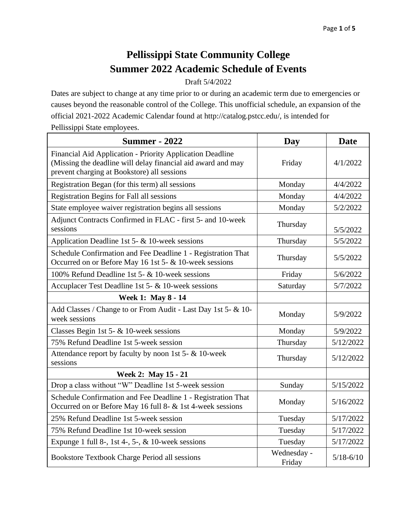## **Pellissippi State Community College Summer 2022 Academic Schedule of Events**

## Draft 5/4/2022

Dates are subject to change at any time prior to or during an academic term due to emergencies or causes beyond the reasonable control of the College. This unofficial schedule, an expansion of the official 2021-2022 Academic Calendar found at http://catalog.pstcc.edu/, is intended for Pellissippi State employees.

| <b>Summer - 2022</b>                                                                                                                                                     | Day                   | <b>Date</b>   |
|--------------------------------------------------------------------------------------------------------------------------------------------------------------------------|-----------------------|---------------|
| Financial Aid Application - Priority Application Deadline<br>(Missing the deadline will delay financial aid award and may<br>prevent charging at Bookstore) all sessions | Friday                | 4/1/2022      |
| Registration Began (for this term) all sessions                                                                                                                          | Monday                | 4/4/2022      |
| Registration Begins for Fall all sessions                                                                                                                                | Monday                | 4/4/2022      |
| State employee waiver registration begins all sessions                                                                                                                   | Monday                | 5/2/2022      |
| Adjunct Contracts Confirmed in FLAC - first 5- and 10-week<br>sessions                                                                                                   | Thursday              | 5/5/2022      |
| Application Deadline 1st 5- & 10-week sessions                                                                                                                           | Thursday              | 5/5/2022      |
| Schedule Confirmation and Fee Deadline 1 - Registration That<br>Occurred on or Before May 16 1st 5- & 10-week sessions                                                   | Thursday              | 5/5/2022      |
| 100% Refund Deadline 1st 5- & 10-week sessions                                                                                                                           | Friday                | 5/6/2022      |
| Accuplacer Test Deadline 1st 5- & 10-week sessions                                                                                                                       | Saturday              | 5/7/2022      |
| Week 1: May 8 - 14                                                                                                                                                       |                       |               |
| Add Classes / Change to or From Audit - Last Day 1st 5- & 10-<br>week sessions                                                                                           | Monday                | 5/9/2022      |
| Classes Begin 1st 5- & 10-week sessions                                                                                                                                  | Monday                | 5/9/2022      |
| 75% Refund Deadline 1st 5-week session                                                                                                                                   | Thursday              | 5/12/2022     |
| Attendance report by faculty by noon 1st 5- & 10-week<br>sessions                                                                                                        | Thursday              | 5/12/2022     |
| Week 2: May 15 - 21                                                                                                                                                      |                       |               |
| Drop a class without "W" Deadline 1st 5-week session                                                                                                                     | Sunday                | 5/15/2022     |
| Schedule Confirmation and Fee Deadline 1 - Registration That<br>Occurred on or Before May 16 full 8- & 1st 4-week sessions                                               | Monday                | 5/16/2022     |
| 25% Refund Deadline 1st 5-week session                                                                                                                                   | Tuesday               | 5/17/2022     |
| 75% Refund Deadline 1st 10-week session                                                                                                                                  | Tuesday               | 5/17/2022     |
| Expunge 1 full 8-, 1st 4-, 5-, $\&$ 10-week sessions                                                                                                                     | Tuesday               | 5/17/2022     |
| Bookstore Textbook Charge Period all sessions                                                                                                                            | Wednesday -<br>Friday | $5/18 - 6/10$ |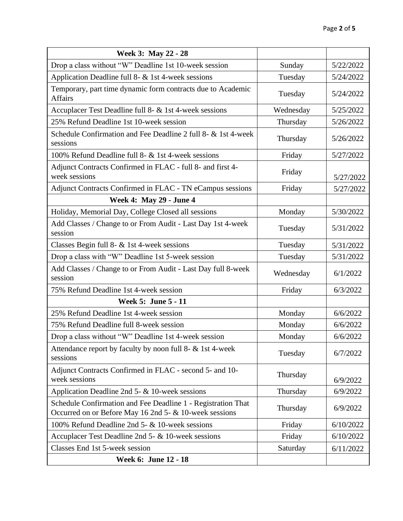| Week 3: May 22 - 28                                                                                                    |           |           |
|------------------------------------------------------------------------------------------------------------------------|-----------|-----------|
| Drop a class without "W" Deadline 1st 10-week session                                                                  | Sunday    | 5/22/2022 |
| Application Deadline full 8- & 1st 4-week sessions                                                                     | Tuesday   | 5/24/2022 |
| Temporary, part time dynamic form contracts due to Academic<br><b>Affairs</b>                                          | Tuesday   | 5/24/2022 |
| Accuplacer Test Deadline full 8- & 1st 4-week sessions                                                                 | Wednesday | 5/25/2022 |
| 25% Refund Deadline 1st 10-week session                                                                                | Thursday  | 5/26/2022 |
| Schedule Confirmation and Fee Deadline 2 full 8- & 1st 4-week<br>sessions                                              | Thursday  | 5/26/2022 |
| 100% Refund Deadline full 8- & 1st 4-week sessions                                                                     | Friday    | 5/27/2022 |
| Adjunct Contracts Confirmed in FLAC - full 8- and first 4-<br>week sessions                                            | Friday    | 5/27/2022 |
| Adjunct Contracts Confirmed in FLAC - TN eCampus sessions                                                              | Friday    | 5/27/2022 |
| <b>Week 4: May 29 - June 4</b>                                                                                         |           |           |
| Holiday, Memorial Day, College Closed all sessions                                                                     | Monday    | 5/30/2022 |
| Add Classes / Change to or From Audit - Last Day 1st 4-week<br>session                                                 | Tuesday   | 5/31/2022 |
| Classes Begin full 8- & 1st 4-week sessions                                                                            | Tuesday   | 5/31/2022 |
| Drop a class with "W" Deadline 1st 5-week session                                                                      | Tuesday   | 5/31/2022 |
| Add Classes / Change to or From Audit - Last Day full 8-week<br>session                                                | Wednesday | 6/1/2022  |
| 75% Refund Deadline 1st 4-week session                                                                                 | Friday    | 6/3/2022  |
| Week 5: June 5 - 11                                                                                                    |           |           |
| 25% Refund Deadline 1st 4-week session                                                                                 | Monday    | 6/6/2022  |
| 75% Refund Deadline full 8-week session                                                                                | Monday    | 6/6/2022  |
| Drop a class without "W" Deadline 1st 4-week session                                                                   | Monday    | 6/6/2022  |
| Attendance report by faculty by noon full 8- & 1st 4-week<br>sessions                                                  | Tuesday   | 6/7/2022  |
| Adjunct Contracts Confirmed in FLAC - second 5- and 10-<br>week sessions                                               | Thursday  | 6/9/2022  |
| Application Deadline 2nd 5- $\&$ 10-week sessions                                                                      | Thursday  | 6/9/2022  |
| Schedule Confirmation and Fee Deadline 1 - Registration That<br>Occurred on or Before May 16 2nd 5- & 10-week sessions | Thursday  | 6/9/2022  |
| 100% Refund Deadline 2nd 5- & 10-week sessions                                                                         | Friday    | 6/10/2022 |
| Accuplacer Test Deadline 2nd 5- & 10-week sessions                                                                     | Friday    | 6/10/2022 |
| Classes End 1st 5-week session                                                                                         | Saturday  | 6/11/2022 |
| Week 6: June 12 - 18                                                                                                   |           |           |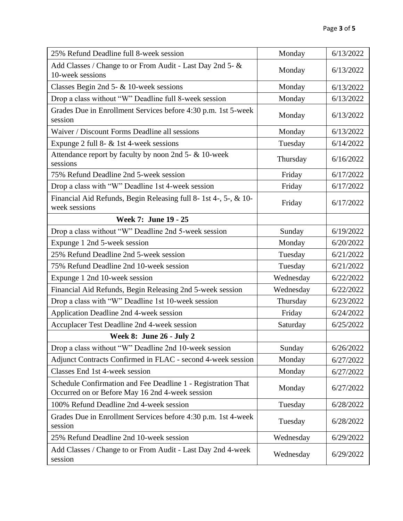| 25% Refund Deadline full 8-week session                                                                         | Monday    | 6/13/2022 |
|-----------------------------------------------------------------------------------------------------------------|-----------|-----------|
| Add Classes / Change to or From Audit - Last Day 2nd 5- &<br>10-week sessions                                   | Monday    | 6/13/2022 |
| Classes Begin 2nd 5- & 10-week sessions                                                                         | Monday    | 6/13/2022 |
| Drop a class without "W" Deadline full 8-week session                                                           | Monday    | 6/13/2022 |
| Grades Due in Enrollment Services before 4:30 p.m. 1st 5-week<br>session                                        | Monday    | 6/13/2022 |
| Waiver / Discount Forms Deadline all sessions                                                                   | Monday    | 6/13/2022 |
| Expunge 2 full 8- $&$ 1st 4-week sessions                                                                       | Tuesday   | 6/14/2022 |
| Attendance report by faculty by noon 2nd 5- & 10-week<br>sessions                                               | Thursday  | 6/16/2022 |
| 75% Refund Deadline 2nd 5-week session                                                                          | Friday    | 6/17/2022 |
| Drop a class with "W" Deadline 1st 4-week session                                                               | Friday    | 6/17/2022 |
| Financial Aid Refunds, Begin Releasing full 8-1st 4-, 5-, & 10-<br>week sessions                                | Friday    | 6/17/2022 |
| Week 7: June 19 - 25                                                                                            |           |           |
| Drop a class without "W" Deadline 2nd 5-week session                                                            | Sunday    | 6/19/2022 |
| Expunge 1 2nd 5-week session                                                                                    | Monday    | 6/20/2022 |
| 25% Refund Deadline 2nd 5-week session                                                                          | Tuesday   | 6/21/2022 |
| 75% Refund Deadline 2nd 10-week session                                                                         | Tuesday   | 6/21/2022 |
| Expunge 1 2nd 10-week session                                                                                   | Wednesday | 6/22/2022 |
| Financial Aid Refunds, Begin Releasing 2nd 5-week session                                                       | Wednesday | 6/22/2022 |
| Drop a class with "W" Deadline 1st 10-week session                                                              | Thursday  | 6/23/2022 |
| Application Deadline 2nd 4-week session                                                                         | Friday    | 6/24/2022 |
| Accuplacer Test Deadline 2nd 4-week session                                                                     | Saturday  | 6/25/2022 |
| <b>Week 8: June 26 - July 2</b>                                                                                 |           |           |
| Drop a class without "W" Deadline 2nd 10-week session                                                           | Sunday    | 6/26/2022 |
| Adjunct Contracts Confirmed in FLAC - second 4-week session                                                     | Monday    | 6/27/2022 |
| Classes End 1st 4-week session                                                                                  | Monday    | 6/27/2022 |
| Schedule Confirmation and Fee Deadline 1 - Registration That<br>Occurred on or Before May 16 2nd 4-week session | Monday    | 6/27/2022 |
| 100% Refund Deadline 2nd 4-week session                                                                         | Tuesday   | 6/28/2022 |
| Grades Due in Enrollment Services before 4:30 p.m. 1st 4-week<br>session                                        | Tuesday   | 6/28/2022 |
| 25% Refund Deadline 2nd 10-week session                                                                         | Wednesday | 6/29/2022 |
| Add Classes / Change to or From Audit - Last Day 2nd 4-week<br>session                                          | Wednesday | 6/29/2022 |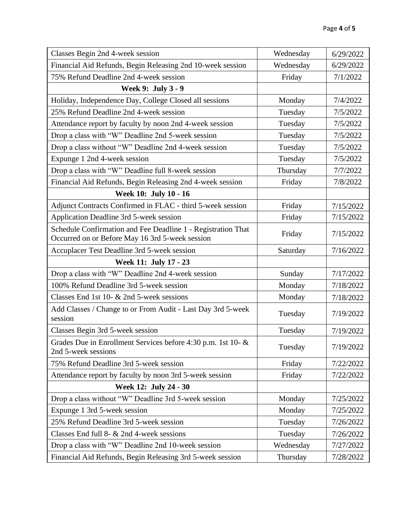| Classes Begin 2nd 4-week session                                                                                | Wednesday | 6/29/2022 |
|-----------------------------------------------------------------------------------------------------------------|-----------|-----------|
| Financial Aid Refunds, Begin Releasing 2nd 10-week session                                                      | Wednesday | 6/29/2022 |
| 75% Refund Deadline 2nd 4-week session                                                                          | Friday    | 7/1/2022  |
| Week 9: July 3 - 9                                                                                              |           |           |
| Holiday, Independence Day, College Closed all sessions                                                          | Monday    | 7/4/2022  |
| 25% Refund Deadline 2nd 4-week session                                                                          | Tuesday   | 7/5/2022  |
| Attendance report by faculty by noon 2nd 4-week session                                                         | Tuesday   | 7/5/2022  |
| Drop a class with "W" Deadline 2nd 5-week session                                                               | Tuesday   | 7/5/2022  |
| Drop a class without "W" Deadline 2nd 4-week session                                                            | Tuesday   | 7/5/2022  |
| Expunge 1 2nd 4-week session                                                                                    | Tuesday   | 7/5/2022  |
| Drop a class with "W" Deadline full 8-week session                                                              | Thursday  | 7/7/2022  |
| Financial Aid Refunds, Begin Releasing 2nd 4-week session                                                       | Friday    | 7/8/2022  |
| Week 10: July 10 - 16                                                                                           |           |           |
| Adjunct Contracts Confirmed in FLAC - third 5-week session                                                      | Friday    | 7/15/2022 |
| Application Deadline 3rd 5-week session                                                                         | Friday    | 7/15/2022 |
| Schedule Confirmation and Fee Deadline 1 - Registration That<br>Occurred on or Before May 16 3rd 5-week session | Friday    | 7/15/2022 |
| Accuplacer Test Deadline 3rd 5-week session                                                                     | Saturday  | 7/16/2022 |
| Week 11: July 17 - 23                                                                                           |           |           |
| Drop a class with "W" Deadline 2nd 4-week session                                                               | Sunday    | 7/17/2022 |
| 100% Refund Deadline 3rd 5-week session                                                                         | Monday    | 7/18/2022 |
| Classes End 1st 10- & 2nd 5-week sessions                                                                       | Monday    | 7/18/2022 |
| Add Classes / Change to or From Audit - Last Day 3rd 5-week<br>session                                          | Tuesday   | 7/19/2022 |
| Classes Begin 3rd 5-week session                                                                                | Tuesday   | 7/19/2022 |
| Grades Due in Enrollment Services before 4:30 p.m. 1st 10- &<br>2nd 5-week sessions                             | Tuesday   | 7/19/2022 |
| 75% Refund Deadline 3rd 5-week session                                                                          | Friday    | 7/22/2022 |
| Attendance report by faculty by noon 3rd 5-week session                                                         | Friday    | 7/22/2022 |
| Week 12: July 24 - 30                                                                                           |           |           |
| Drop a class without "W" Deadline 3rd 5-week session                                                            | Monday    | 7/25/2022 |
| Expunge 1 3rd 5-week session                                                                                    | Monday    | 7/25/2022 |
| 25% Refund Deadline 3rd 5-week session                                                                          | Tuesday   | 7/26/2022 |
| Classes End full 8- & 2nd 4-week sessions                                                                       | Tuesday   | 7/26/2022 |
| Drop a class with "W" Deadline 2nd 10-week session                                                              | Wednesday | 7/27/2022 |
| Financial Aid Refunds, Begin Releasing 3rd 5-week session                                                       | Thursday  | 7/28/2022 |